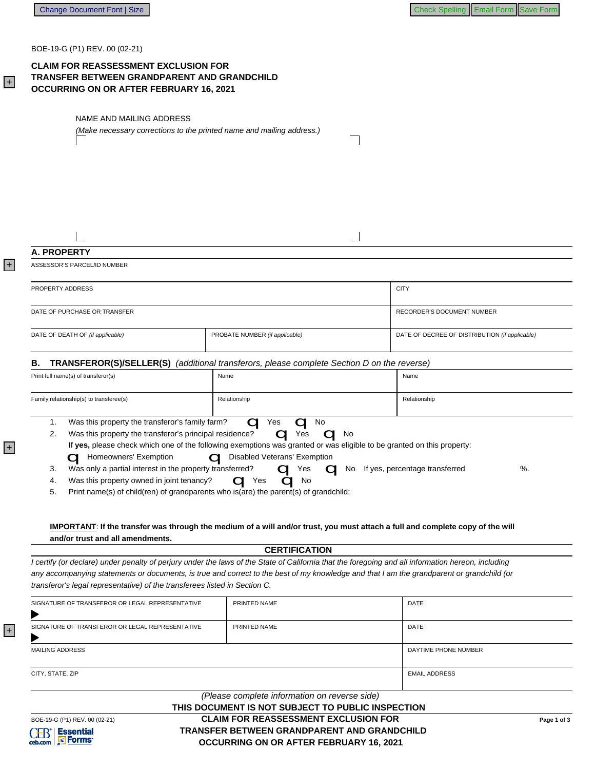BOE-19-G (P1) REV. 00 (02-21)

# **CLAIM FOR REASSESSMENT EXCLUSION FOR TRANSFER BETWEEN GRANDPARENT AND GRANDCHILD** OCCURRING ON OR AFTER FEBRUARY 16, 2021

NAME AND MAILING ADDRESS (Make necessary corrections to the printed name and mailing address.)

# A. PROPERTY

ASSESSOR'S PARCEL/ID NUMBER

| PROPERTY ADDRESS                 |                                | <b>CITY</b>                                    |
|----------------------------------|--------------------------------|------------------------------------------------|
|                                  |                                |                                                |
| DATE OF PURCHASE OR TRANSFER     |                                | RECORDER'S DOCUMENT NUMBER                     |
| DATE OF DEATH OF (if applicable) | PROBATE NUMBER (if applicable) | DATE OF DECREE OF DISTRIBUTION (if applicable) |

### **B.** TRANSFEROR(S)/SELLER(S) (additional transferors, please complete Section D on the reverse)

|    | Print full name(s) of transferor(s)                                                                        | Name<br>Name                                                                                                                                     |  |
|----|------------------------------------------------------------------------------------------------------------|--------------------------------------------------------------------------------------------------------------------------------------------------|--|
|    | Family relationship(s) to transferee(s)                                                                    | Relationship<br>Relationship                                                                                                                     |  |
| 2. | Was this property the transferor's family farm?<br>Was this property the transferor's principal residence? | No<br>Yes<br>Yes<br>No<br>If yes, please check which one of the following exemptions was granted or was eligible to be granted on this property: |  |
|    | Homeowners' Exemption                                                                                      | Disabled Veterans' Exemption                                                                                                                     |  |
| 3. | Was only a partial interest in the property transferred?                                                   | %.<br>If yes, percentage transferred<br>No.<br>Yes<br>$\cup$                                                                                     |  |
| 4. | Was this property owned in joint tenancy?                                                                  | No<br>Yes                                                                                                                                        |  |

Print name(s) of child(ren) of grandparents who is(are) the parent(s) of grandchild: 5.

### IMPORTANT: If the transfer was through the medium of a will and/or trust, you must attach a full and complete copy of the will and/or trust and all amendments.

**CERTIFICATION** 

I certify (or declare) under penalty of perjury under the laws of the State of California that the foregoing and all information hereon, including any accompanying statements or documents, is true and correct to the best of my knowledge and that I am the grandparent or grandchild (or transferor's legal representative) of the transferees listed in Section C.

|                                                 | (Please complete information on reverse side)<br>THIS DOCUMENT IS NOT SUBJECT TO PUBLIC INSPECTION |                      |  |
|-------------------------------------------------|----------------------------------------------------------------------------------------------------|----------------------|--|
| CITY, STATE, ZIP                                |                                                                                                    | <b>EMAIL ADDRESS</b> |  |
| <b>MAILING ADDRESS</b>                          |                                                                                                    | DAYTIME PHONE NUMBER |  |
| SIGNATURE OF TRANSFEROR OR LEGAL REPRESENTATIVE | PRINTED NAME                                                                                       | DATE                 |  |
| SIGNATURE OF TRANSFEROR OR LEGAL REPRESENTATIVE | PRINTED NAME                                                                                       | <b>DATE</b>          |  |

 $+$ 

 $|+|$ 

 $+$ 

 $+$ 

# **CLAIM FOR REASSESSMENT EXCLUSION FOR TRANSFER BETWEEN GRANDPARENT AND GRANDCHILD** OCCURRING ON OR AFTER FEBRUARY 16, 2021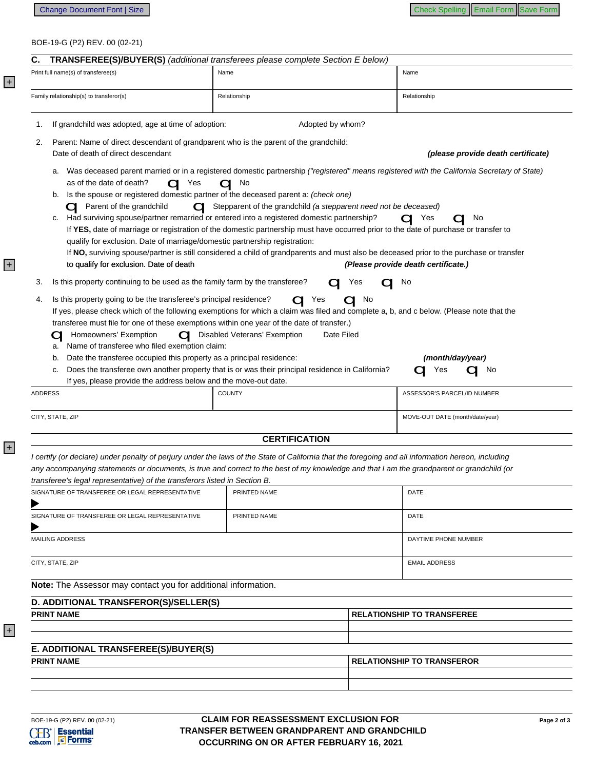## BOE-19-G (P2) REV. 00 (02-21)

|                                                                                                                               |                | <b>TRANSFEREE(S)/BUYER(S)</b> (additional transferees please complete Section E below)                |                                                                                                                                                                                |
|-------------------------------------------------------------------------------------------------------------------------------|----------------|-------------------------------------------------------------------------------------------------------|--------------------------------------------------------------------------------------------------------------------------------------------------------------------------------|
| Print full name(s) of transferee(s)                                                                                           | Name           |                                                                                                       | Name                                                                                                                                                                           |
| Family relationship(s) to transferor(s)                                                                                       |                | Relationship                                                                                          | Relationship                                                                                                                                                                   |
| If grandchild was adopted, age at time of adoption:<br>1.                                                                     |                | Adopted by whom?                                                                                      |                                                                                                                                                                                |
| 2.                                                                                                                            |                | Parent: Name of direct descendant of grandparent who is the parent of the grandchild:                 |                                                                                                                                                                                |
| Date of death of direct descendant                                                                                            |                |                                                                                                       | (please provide death certificate)                                                                                                                                             |
| а.                                                                                                                            |                |                                                                                                       | Was deceased parent married or in a registered domestic partnership ("registered" means registered with the California Secretary of State)                                     |
| as of the date of death?<br>b.                                                                                                | $\bigcirc$ Yes | $\mathbf{q}$ No<br>Is the spouse or registered domestic partner of the deceased parent a: (check one) |                                                                                                                                                                                |
| <b>C</b> Parent of the grandchild                                                                                             |                | Stepparent of the grandchild (a stepparent need not be deceased)                                      |                                                                                                                                                                                |
| c.                                                                                                                            |                | Had surviving spouse/partner remarried or entered into a registered domestic partnership?             | $\mathbf{C}$ Yes<br>$\mathbf{C}$ No                                                                                                                                            |
|                                                                                                                               |                |                                                                                                       | If YES, date of marriage or registration of the domestic partnership must have occurred prior to the date of purchase or transfer to                                           |
|                                                                                                                               |                | qualify for exclusion. Date of marriage/domestic partnership registration:                            |                                                                                                                                                                                |
| to qualify for exclusion. Date of death                                                                                       |                |                                                                                                       | If NO, surviving spouse/partner is still considered a child of grandparents and must also be deceased prior to the purchase or transfer<br>(Please provide death certificate.) |
| Is this property continuing to be used as the family farm by the transferee?<br>З.                                            |                | Yes                                                                                                   | $\mathbf{C}$ No                                                                                                                                                                |
| Is this property going to be the transferee's principal residence?<br>4.                                                      |                | Yes<br>a                                                                                              | No                                                                                                                                                                             |
|                                                                                                                               |                |                                                                                                       | If yes, please check which of the following exemptions for which a claim was filed and complete a, b, and c below. (Please note that the                                       |
|                                                                                                                               |                | transferee must file for one of these exemptions within one year of the date of transfer.)            |                                                                                                                                                                                |
| Homeowners' Exemption                                                                                                         |                | O Disabled Veterans' Exemption<br>Date Filed                                                          |                                                                                                                                                                                |
| Name of transferee who filed exemption claim:<br>a.                                                                           |                |                                                                                                       |                                                                                                                                                                                |
| Date the transferee occupied this property as a principal residence:<br>b.                                                    |                |                                                                                                       | (month/day/year)                                                                                                                                                               |
|                                                                                                                               |                | Does the transferee own another property that is or was their principal residence in California?      | Yes<br><b>No</b>                                                                                                                                                               |
|                                                                                                                               |                |                                                                                                       |                                                                                                                                                                                |
|                                                                                                                               |                | If yes, please provide the address below and the move-out date.<br><b>COUNTY</b>                      | ASSESSOR'S PARCEL/ID NUMBER                                                                                                                                                    |
|                                                                                                                               |                |                                                                                                       |                                                                                                                                                                                |
|                                                                                                                               |                |                                                                                                       | MOVE-OUT DATE (month/date/year)                                                                                                                                                |
| <b>ADDRESS</b><br>CITY, STATE, ZIP                                                                                            |                | <b>CERTIFICATION</b>                                                                                  |                                                                                                                                                                                |
|                                                                                                                               |                |                                                                                                       |                                                                                                                                                                                |
|                                                                                                                               |                |                                                                                                       | I certify (or declare) under penalty of perjury under the laws of the State of California that the foregoing and all information hereon, including                             |
|                                                                                                                               |                |                                                                                                       | any accompanying statements or documents, is true and correct to the best of my knowledge and that I am the grandparent or grandchild (or                                      |
| transferee's legal representative) of the transferors listed in Section B.<br>SIGNATURE OF TRANSFEREE OR LEGAL REPRESENTATIVE |                | PRINTED NAME                                                                                          | DATE                                                                                                                                                                           |
|                                                                                                                               |                |                                                                                                       |                                                                                                                                                                                |
| SIGNATURE OF TRANSFEREE OR LEGAL REPRESENTATIVE                                                                               |                | PRINTED NAME                                                                                          | DATE                                                                                                                                                                           |
|                                                                                                                               |                |                                                                                                       |                                                                                                                                                                                |
| <b>MAILING ADDRESS</b>                                                                                                        |                |                                                                                                       | DAYTIME PHONE NUMBER                                                                                                                                                           |
| CITY, STATE, ZIP                                                                                                              |                |                                                                                                       | <b>EMAIL ADDRESS</b>                                                                                                                                                           |
|                                                                                                                               |                |                                                                                                       |                                                                                                                                                                                |
|                                                                                                                               |                |                                                                                                       |                                                                                                                                                                                |
| Note: The Assessor may contact you for additional information.<br>D. ADDITIONAL TRANSFEROR(S)/SELLER(S)                       |                |                                                                                                       |                                                                                                                                                                                |
| <b>PRINT NAME</b>                                                                                                             |                |                                                                                                       | <b>RELATIONSHIP TO TRANSFEREE</b>                                                                                                                                              |
|                                                                                                                               |                |                                                                                                       |                                                                                                                                                                                |
| E. ADDITIONAL TRANSFEREE(S)/BUYER(S)                                                                                          |                |                                                                                                       |                                                                                                                                                                                |
| <b>PRINT NAME</b>                                                                                                             |                |                                                                                                       | <b>RELATIONSHIP TO TRANSFEROR</b>                                                                                                                                              |

 $+$ 

+

+

+